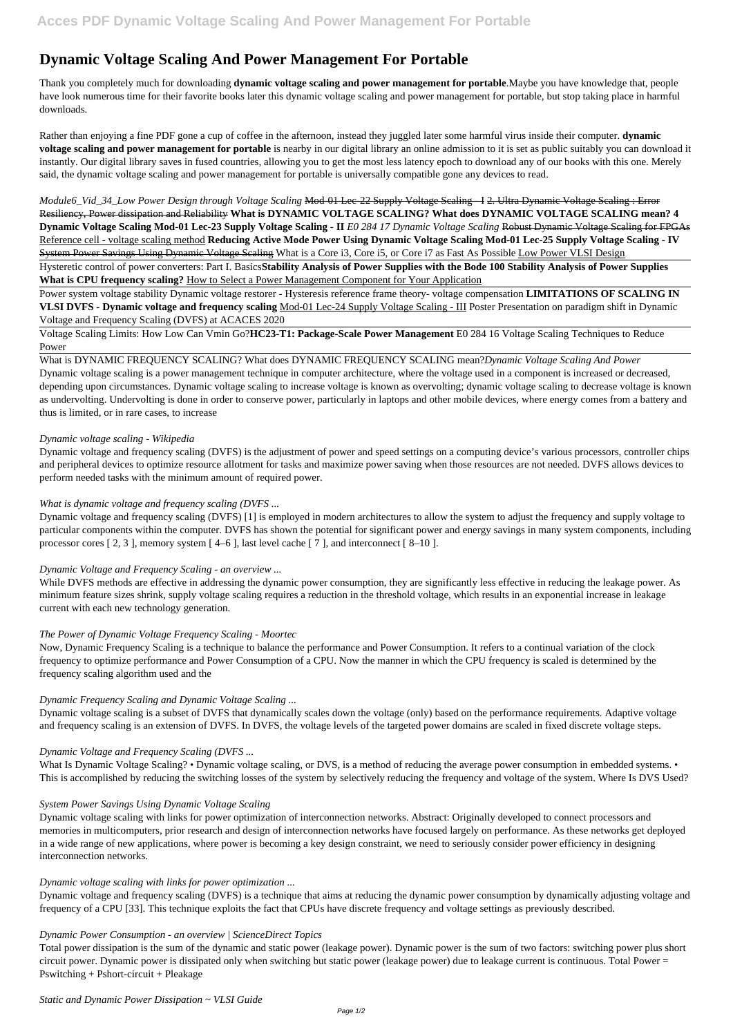# **Dynamic Voltage Scaling And Power Management For Portable**

Thank you completely much for downloading **dynamic voltage scaling and power management for portable**.Maybe you have knowledge that, people have look numerous time for their favorite books later this dynamic voltage scaling and power management for portable, but stop taking place in harmful downloads.

*Module6\_Vid\_34\_Low Power Design through Voltage Scaling* Mod-01 Lec-22 Supply Voltage Scaling - I 2. Ultra Dynamic Voltage Scaling : Error Resiliency, Power dissipation and Reliability **What is DYNAMIC VOLTAGE SCALING? What does DYNAMIC VOLTAGE SCALING mean? 4 Dynamic Voltage Scaling Mod-01 Lec-23 Supply Voltage Scaling - II** *E0 284 17 Dynamic Voltage Scaling* Robust Dynamic Voltage Scaling for FPGAs Reference cell - voltage scaling method **Reducing Active Mode Power Using Dynamic Voltage Scaling Mod-01 Lec-25 Supply Voltage Scaling - IV** System Power Savings Using Dynamic Voltage Scaling What is a Core i3, Core i5, or Core i7 as Fast As Possible Low Power VLSI Design

Rather than enjoying a fine PDF gone a cup of coffee in the afternoon, instead they juggled later some harmful virus inside their computer. **dynamic voltage scaling and power management for portable** is nearby in our digital library an online admission to it is set as public suitably you can download it instantly. Our digital library saves in fused countries, allowing you to get the most less latency epoch to download any of our books with this one. Merely said, the dynamic voltage scaling and power management for portable is universally compatible gone any devices to read.

Hysteretic control of power converters: Part I. Basics**Stability Analysis of Power Supplies with the Bode 100 Stability Analysis of Power Supplies What is CPU frequency scaling?** How to Select a Power Management Component for Your Application

Power system voltage stability Dynamic voltage restorer - Hysteresis reference frame theory- voltage compensation **LIMITATIONS OF SCALING IN VLSI DVFS - Dynamic voltage and frequency scaling** Mod-01 Lec-24 Supply Voltage Scaling - III Poster Presentation on paradigm shift in Dynamic Voltage and Frequency Scaling (DVFS) at ACACES 2020

Voltage Scaling Limits: How Low Can Vmin Go?**HC23-T1: Package-Scale Power Management** E0 284 16 Voltage Scaling Techniques to Reduce Power

# What is DYNAMIC FREQUENCY SCALING? What does DYNAMIC FREQUENCY SCALING mean?*Dynamic Voltage Scaling And Power*

What Is Dynamic Voltage Scaling? • Dynamic voltage scaling, or DVS, is a method of reducing the average power consumption in embedded systems. • This is accomplished by reducing the switching losses of the system by selectively reducing the frequency and voltage of the system. Where Is DVS Used?

Dynamic voltage scaling is a power management technique in computer architecture, where the voltage used in a component is increased or decreased, depending upon circumstances. Dynamic voltage scaling to increase voltage is known as overvolting; dynamic voltage scaling to decrease voltage is known as undervolting. Undervolting is done in order to conserve power, particularly in laptops and other mobile devices, where energy comes from a battery and thus is limited, or in rare cases, to increase

# *Dynamic voltage scaling - Wikipedia*

Dynamic voltage and frequency scaling (DVFS) is the adjustment of power and speed settings on a computing device's various processors, controller chips and peripheral devices to optimize resource allotment for tasks and maximize power saving when those resources are not needed. DVFS allows devices to perform needed tasks with the minimum amount of required power.

# *What is dynamic voltage and frequency scaling (DVFS ...*

Dynamic voltage and frequency scaling (DVFS) [1] is employed in modern architectures to allow the system to adjust the frequency and supply voltage to particular components within the computer. DVFS has shown the potential for significant power and energy savings in many system components, including processor cores [ 2, 3 ], memory system [ 4–6 ], last level cache [ 7 ], and interconnect [ 8–10 ].

# *Dynamic Voltage and Frequency Scaling - an overview ...*

While DVFS methods are effective in addressing the dynamic power consumption, they are significantly less effective in reducing the leakage power. As minimum feature sizes shrink, supply voltage scaling requires a reduction in the threshold voltage, which results in an exponential increase in leakage current with each new technology generation.

# *The Power of Dynamic Voltage Frequency Scaling - Moortec*

Now, Dynamic Frequency Scaling is a technique to balance the performance and Power Consumption. It refers to a continual variation of the clock frequency to optimize performance and Power Consumption of a CPU. Now the manner in which the CPU frequency is scaled is determined by the frequency scaling algorithm used and the

# *Dynamic Frequency Scaling and Dynamic Voltage Scaling ...*

Dynamic voltage scaling is a subset of DVFS that dynamically scales down the voltage (only) based on the performance requirements. Adaptive voltage and frequency scaling is an extension of DVFS. In DVFS, the voltage levels of the targeted power domains are scaled in fixed discrete voltage steps.

# *Dynamic Voltage and Frequency Scaling (DVFS ...*

### *System Power Savings Using Dynamic Voltage Scaling*

Dynamic voltage scaling with links for power optimization of interconnection networks. Abstract: Originally developed to connect processors and memories in multicomputers, prior research and design of interconnection networks have focused largely on performance. As these networks get deployed in a wide range of new applications, where power is becoming a key design constraint, we need to seriously consider power efficiency in designing interconnection networks.

### *Dynamic voltage scaling with links for power optimization ...*

Dynamic voltage and frequency scaling (DVFS) is a technique that aims at reducing the dynamic power consumption by dynamically adjusting voltage and frequency of a CPU [33]. This technique exploits the fact that CPUs have discrete frequency and voltage settings as previously described.

# *Dynamic Power Consumption - an overview | ScienceDirect Topics*

Total power dissipation is the sum of the dynamic and static power (leakage power). Dynamic power is the sum of two factors: switching power plus short circuit power. Dynamic power is dissipated only when switching but static power (leakage power) due to leakage current is continuous. Total Power = Pswitching + Pshort-circuit + Pleakage

*Static and Dynamic Power Dissipation ~ VLSI Guide*